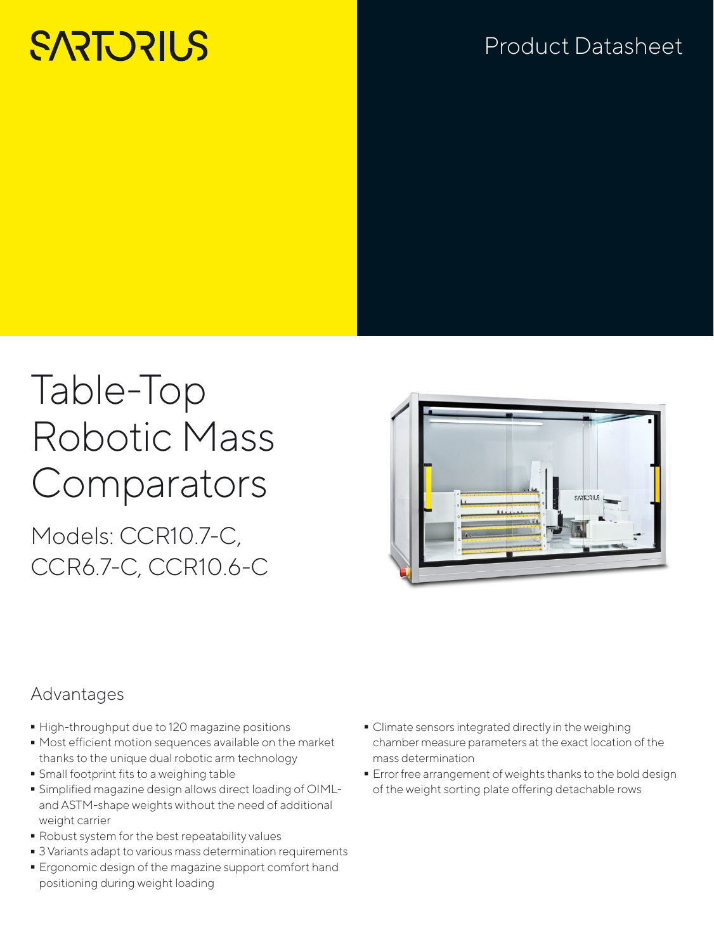# **SARTORILS**

# Product Datasheet

# Table-Top Robotic Mass **Comparators**

Models: CCR10.7-C, CCR6.7-C, CCR10.6-C



### Advantages

- 
- High-throughput due to 120 magazine positions<br>■ Most efficient motion sequences available on th - Most efficient motion sequences available on the market thanks to the unique dual robotic arm technology
- 
- Small footprint fits to a weighing table - Simplified magazine design allows direct loading of OIMLand ASTM-shape weights without the need of additional weight carrier
- 
- Robust system for the best repeatability values<br>• 3 Variants adapt to various mass determination requirements
- 3 Variants adapt to various mass determination requirements - Ergonomic design of the magazine support comfort hand positioning during weight loading
- Climate sensors integrated directly in the weighing chamber measure parameters at the exact location of the mass determination
- **E**rror free arrangement of weights thanks to the bold design of the weight sorting plate offering detachable rows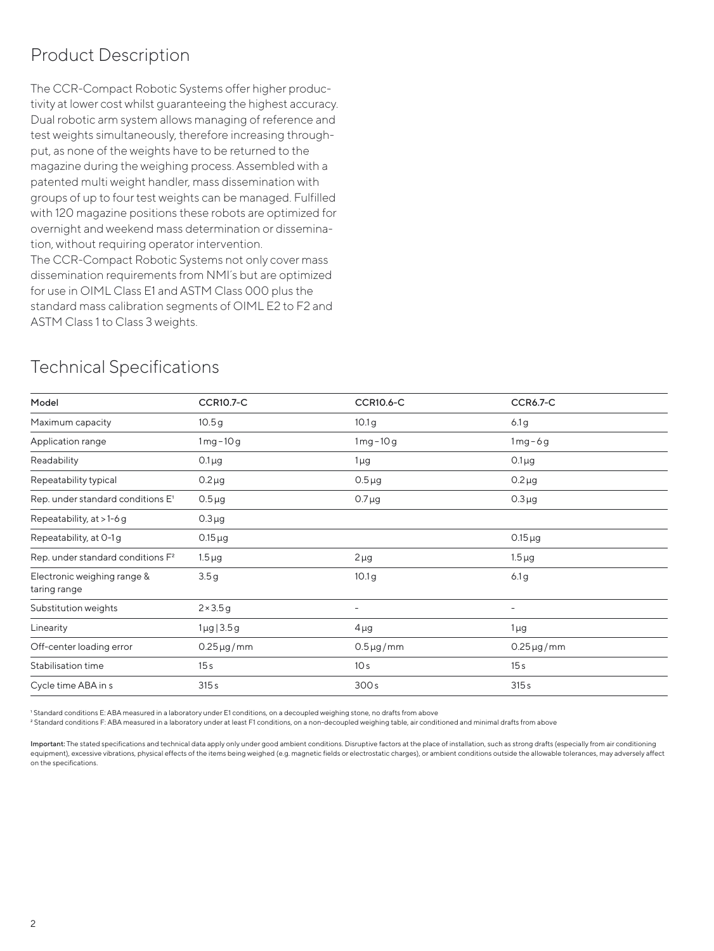### Product Description

The CCR-Compact Robotic Systems offer higher productivity at lower cost whilst quaranteeing the highest accuracy. Dual robotic arm system allows managing of reference and test weights simultaneously, therefore increasing throughput, as none of the weights have to be returned to the magazine during the weighing process. Assembled with a patented multi weight handler, mass dissemination with groups of up to four test weights can be managed. Fulfilled with 120 magazine positions these robots are optimized for overnight and weekend mass determination or dissemination, without requiring operator intervention. The CCR-Compact Robotic Systems not only cover mass dissemination requirements from NMI´s but are optimized for use in OIML Class E1 and ASTM Class 000 plus the standard mass calibration segments of OIML E2 to F2 and ASTM Class 1 to Class 3 weights.

#### Technical Specifications

| Model                                         | <b>CCR10.7-C</b>  | <b>CCR10.6-C</b>         | <b>CCR6.7-C</b>          |  |
|-----------------------------------------------|-------------------|--------------------------|--------------------------|--|
| Maximum capacity                              | 10.5g             | 10.1 <sub>g</sub>        | 6.1 <sub>g</sub>         |  |
| Application range                             | $1mg-10g$         | $1mg-10g$                | $1mg-6g$                 |  |
| Readability                                   | $0.1\mu$ g        | $1 \mu g$                | $0.1\mu$ g               |  |
| Repeatability typical                         | $0.2 \mu g$       | $0.5 \mu g$              | $0.2 \mu g$              |  |
| Rep. under standard conditions E'             | $0.5 \mu g$       | $0.7 \mu$ g              | $0.3 \mu g$              |  |
| Repeatability, at >1-6 g                      | $0.3 \mu g$       |                          |                          |  |
| Repeatability, at 0-1g                        | $0.15 \mu g$      |                          | $0.15 \mu g$             |  |
| Rep. under standard conditions F <sup>2</sup> | $1.5 \mu g$       | $2 \mu g$                | $1.5 \mu g$              |  |
| Electronic weighing range &<br>taring range   | 3.5g              | 10.1 <sub>g</sub>        | 6.1g                     |  |
| Substitution weights                          | $2 \times 3.5g$   | $\overline{\phantom{a}}$ | $\overline{\phantom{a}}$ |  |
| Linearity                                     | $1 \mu g / 3.5 g$ | $4\mu$ g                 | $1\mu$ g                 |  |
| Off-center loading error                      | $0.25 \mu g/mm$   | $0.5 \mu g/mm$           | $0.25 \mu g/mm$          |  |
| Stabilisation time                            | 15 <sub>s</sub>   | 10 <sub>s</sub>          | 15 <sub>s</sub>          |  |
| Cycle time ABA in s                           | 315s              | 300s                     | 315s                     |  |

1 Standard conditions E: ABA measured in a laboratory under E1 conditions, on a decoupled weighing stone, no drafts from above

2 Standard conditions F: ABA measured in a laboratory under at least F1 conditions, on a non-decoupled weighing table, air conditioned and minimal drafts from above

Important: The stated specifications and technical data apply only under good ambient conditions. Disruptive factors at the place of installation, such as strong drafts (especially from air conditioning equipment), excessive vibrations, physical effects of the items being weighed (e.g. magnetic fields or electrostatic charges), or ambient conditions outside the allowable tolerances, may adversely affect on the specifications.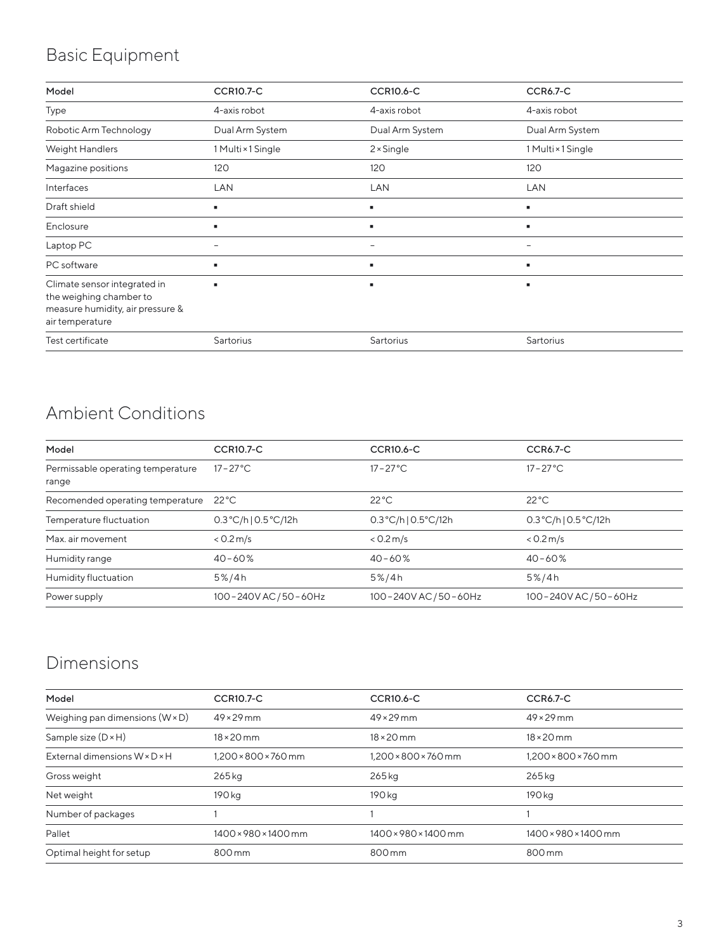# Basic Equipment

| Model                                                                                                          | <b>CCR10.7-C</b>   | <b>CCR10.6-C</b>  | <b>CCR6.7-C</b>          |
|----------------------------------------------------------------------------------------------------------------|--------------------|-------------------|--------------------------|
| Type                                                                                                           | 4-axis robot       | 4-axis robot      | 4-axis robot             |
| Robotic Arm Technology                                                                                         | Dual Arm System    | Dual Arm System   | Dual Arm System          |
| Weight Handlers                                                                                                | 1 Multi × 1 Single | $2 \times$ Single | 1 Multi × 1 Single       |
| Magazine positions                                                                                             | 120                | 120               | 120                      |
| Interfaces                                                                                                     | LAN                | LAN               | LAN                      |
| Draft shield                                                                                                   | ٠                  | ٠                 |                          |
| Enclosure                                                                                                      | ٠                  | ٠                 | п                        |
| Laptop PC                                                                                                      | -                  | -                 | $\overline{\phantom{a}}$ |
| PC software                                                                                                    | ٠                  | ٠                 | ٠                        |
| Climate sensor integrated in<br>the weighing chamber to<br>measure humidity, air pressure &<br>air temperature |                    | ٠                 |                          |
| Test certificate                                                                                               | Sartorius          | Sartorius         | Sartorius                |

## Ambient Conditions

| Model                                      | <b>CCR10.7-C</b>      | <b>CCR10.6-C</b>                        | CCR6.7-C                               |
|--------------------------------------------|-----------------------|-----------------------------------------|----------------------------------------|
| Permissable operating temperature<br>range | $17 - 27^{\circ}$ C   | $17 - 27^{\circ}$ C                     | $17 - 27^{\circ}$ C.                   |
| Recomended operating temperature           | $22^{\circ}$ C        | $22^{\circ}$ C                          | $22^{\circ}$ C                         |
| Temperature fluctuation                    | 0.3°C/h 0.5°C/12h     | $0.3^{\circ}$ C/h   $0.5^{\circ}$ C/12h | $0.3^{\circ}$ C/h  $0.5^{\circ}$ C/12h |
| Max. air movement                          | < 0.2 m/s             | < 0.2 m/s                               | < 0.2 m/s                              |
| Humidity range                             | $40 - 60%$            | $40 - 60%$                              | $40 - 60%$                             |
| Humidity fluctuation                       | 5%/4h                 | $5\%/4h$                                | 5%/4h                                  |
| Power supply                               | 100-240V AC / 50-60Hz | 100-240V AC / 50-60Hz                   | 100-240V AC / 50-60Hz                  |

## Dimensions

| Model                                  | <b>CCR10.7-C</b>     | <b>CCR10.6-C</b>     | <b>CCR6.7-C</b>                  |
|----------------------------------------|----------------------|----------------------|----------------------------------|
| Weighing pan dimensions $(W \times D)$ | $49 \times 29$ mm    | $49 \times 29$ mm    | $49 \times 29$ mm                |
| Sample size $(D \times H)$             | $18 \times 20$ mm    | $18 \times 20$ mm    | $18 \times 20$ mm                |
| External dimensions W × D × H          | 1.200 × 800 × 760 mm | 1,200 × 800 × 760 mm | $1.200 \times 800 \times 760$ mm |
| Gross weight                           | $265$ kg             | 265 kg               | 265kg                            |
| Net weight                             | 190 kg               | 190 kg               | 190 kg                           |
| Number of packages                     |                      |                      |                                  |
| Pallet                                 | 1400 × 980 × 1400 mm | 1400 × 980 × 1400 mm | 1400 × 980 × 1400 mm             |
| Optimal height for setup               | 800 mm               | 800 mm               | 800 mm                           |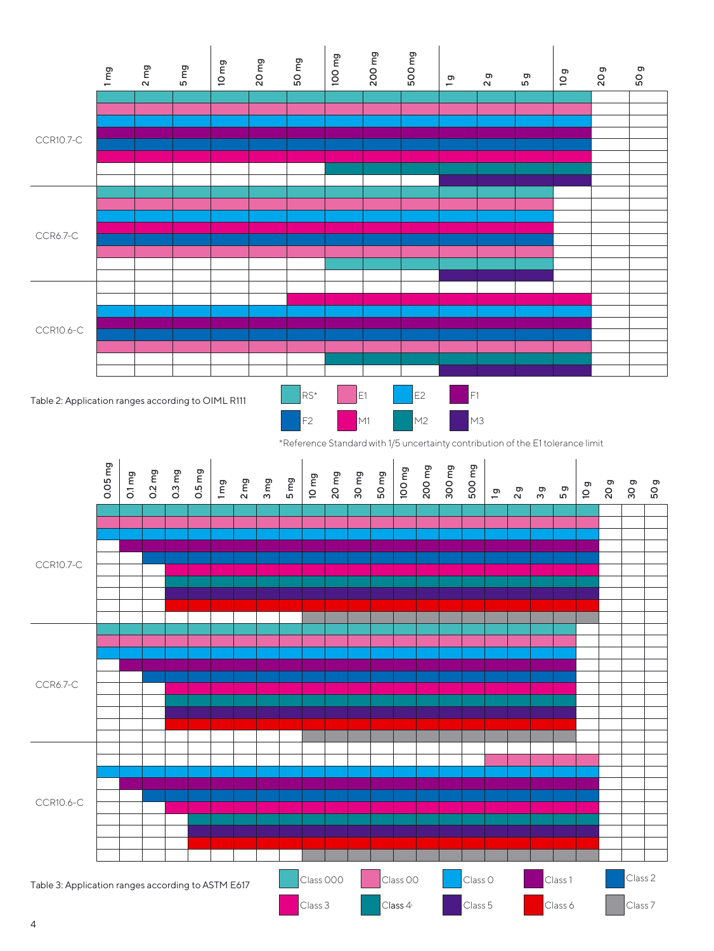

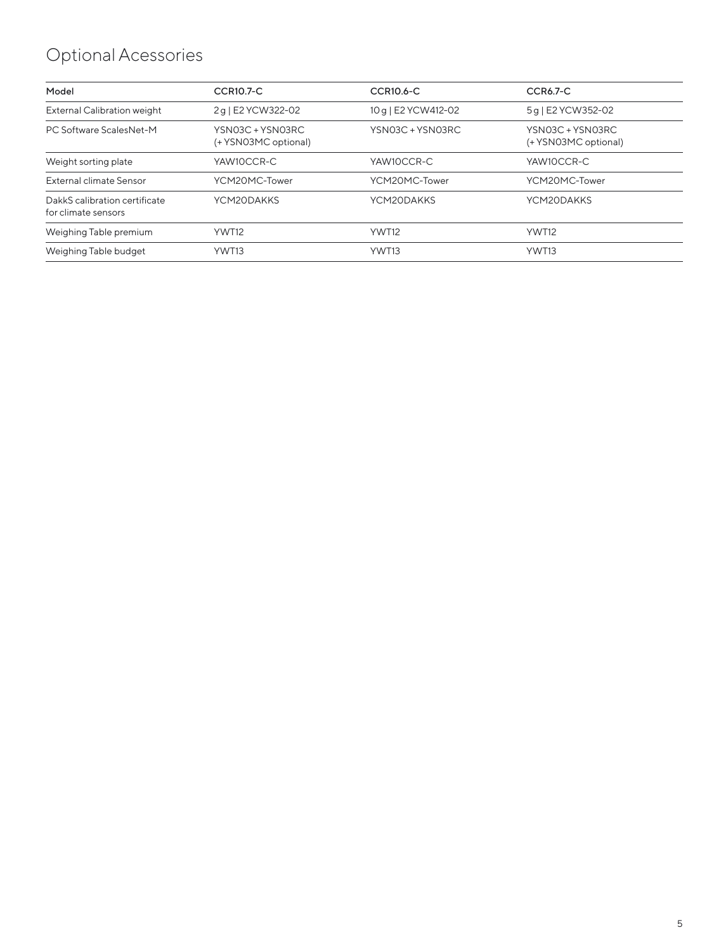# Optional Acessories

| <b>CCR10.6-C</b>    | <b>CCR6.7-C</b>                                                                |
|---------------------|--------------------------------------------------------------------------------|
|                     |                                                                                |
| 10 g   E2 YCW412-02 | 5q   E2 YCW352-02                                                              |
| YSN03C + YSN03RC    | YSN03C + YSN03RC<br>(+ YSN03MC optional)                                       |
| YAW10CCR-C          | YAW10CCR-C                                                                     |
| YCM20MC-Tower       | YCM20MC-Tower                                                                  |
| YCM20DAKKS          | YCM20DAKKS                                                                     |
| YWT12               | YWT12                                                                          |
| YWT13               | YWT13                                                                          |
|                     | 2q   E2 YCW322-02<br>YSN03C + YSN03RC<br>(+ YSN03MC optional)<br>YCM20MC-Tower |